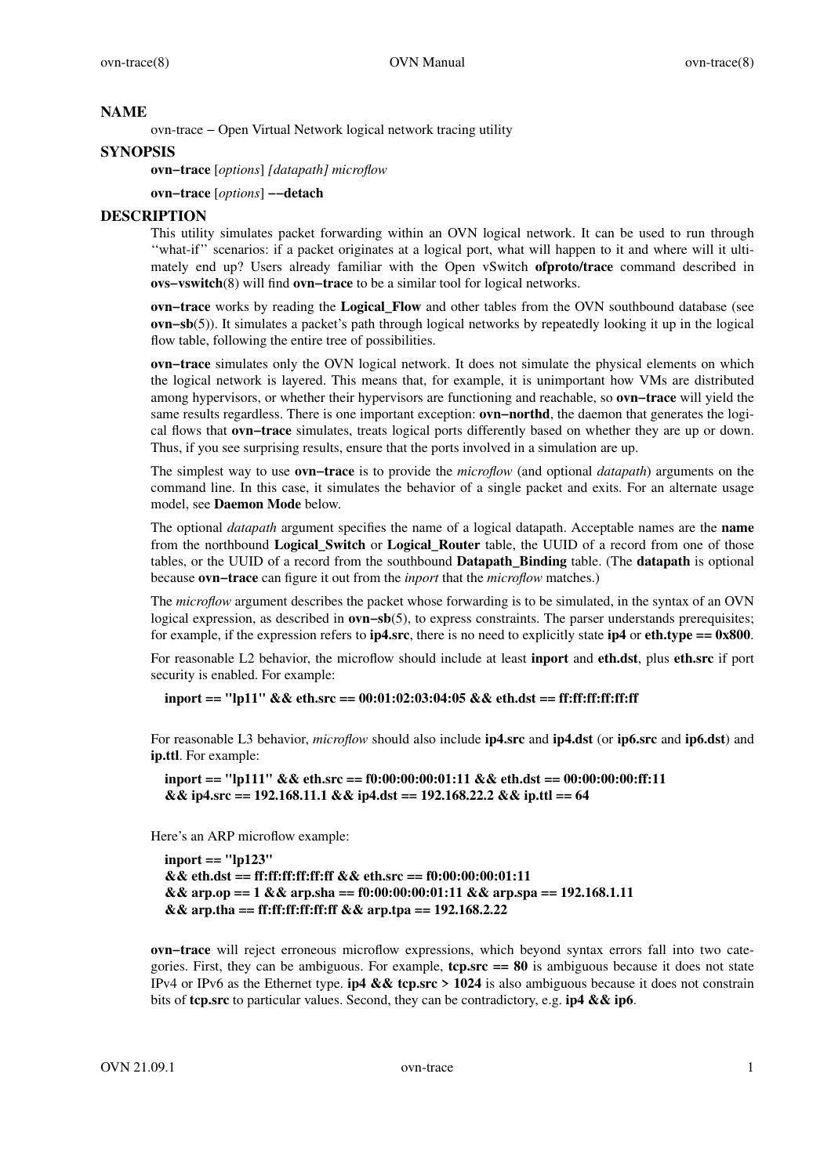### **NAME**

ovn-trace − Open Virtual Network logical network tracing utility

## **SYNOPSIS**

**ovn−trace** [*options*] *[datapath] microflow*

**ovn−trace** [*options*] **−−detach**

### **DESCRIPTION**

This utility simulates packet forwarding within an OVN logical network. It can be used to run through ''what-if '' scenarios: if a packet originates at a logical port, what will happen to it and where will it ultimately end up? Users already familiar with the Open vSwitch **ofproto/trace** command described in **ovs−vswitch**(8) will find **ovn−trace** to be a similar tool for logical networks.

**ovn−trace** works by reading the **Logical\_Flow** and other tables from the OVN southbound database (see **ovn−sb**(5)). It simulates a packet's path through logical networks by repeatedly looking it up in the logical flow table, following the entire tree of possibilities.

**ovn−trace** simulates only the OVN logical network. It does not simulate the physical elements on which the logical network is layered. This means that, for example, it is unimportant how VMs are distributed among hypervisors, or whether their hypervisors are functioning and reachable, so **ovn−trace** will yield the same results regardless. There is one important exception: **ovn−northd**, the daemon that generates the logical flows that **ovn−trace** simulates, treats logical ports differently based on whether they are up or down. Thus, if you see surprising results, ensure that the ports involved in a simulation are up.

The simplest way to use **ovn−trace** is to provide the *microflow* (and optional *datapath*) arguments on the command line. In this case, it simulates the behavior of a single packet and exits. For an alternate usage model, see **Daemon Mode** below.

The optional *datapath* argument specifies the name of a logical datapath. Acceptable names are the **name** from the northbound **Logical\_Switch** or **Logical\_Router** table, the UUID of a record from one of those tables, or the UUID of a record from the southbound **Datapath\_Binding** table. (The **datapath** is optional because **ovn−trace** can figure it out from the *inport* that the *microflow* matches.)

The *microflow* argument describes the packet whose forwarding is to be simulated, in the syntax of an OVN logical expression, as described in **ovn−sb**(5), to express constraints. The parser understands prerequisites; for example, if the expression refers to  $ip4$ src, there is no need to explicitly state  $ip4$  or  $eth. type = 0x800$ .

For reasonable L2 behavior, the microflow should include at least **inport** and **eth.dst**, plus **eth.src** if port security is enabled. For example:

**inport == "lp11" && eth.src == 00:01:02:03:04:05 && eth.dst == ff:ff:ff:ff:ff:ff**

For reasonable L3 behavior, *microflow* should also include **ip4.src** and **ip4.dst** (or **ip6.src** and **ip6.dst**) and **ip.ttl**. For example:

```
inport == "lp111" && eth.src == f0:00:00:00:01:11 && eth.dst == 00:00:00:00:ff:11
&& ip4.src == 192.168.11.1 && ip4.dst == 192.168.22.2 && ip.ttl == 64
```
Here's an ARP microflow example:

**inport == "lp123" && eth.dst == ff:ff:ff:ff:ff:ff && eth.src == f0:00:00:00:01:11 && arp.op == 1 && arp.sha == f0:00:00:00:01:11 && arp.spa == 192.168.1.11 && arp.tha == ff:ff:ff:ff:ff:ff && arp.tpa == 192.168.2.22**

**ovn−trace** will reject erroneous microflow expressions, which beyond syntax errors fall into two categories. First, they can be ambiguous. For example, **tcp.src == 80** is ambiguous because it does not state IPv4 or IPv6 as the Ethernet type. **ip4 && tcp.src>1024** is also ambiguous because it does not constrain bits of **tcp.src** to particular values. Second, they can be contradictory, e.g. **ip4 && ip6**.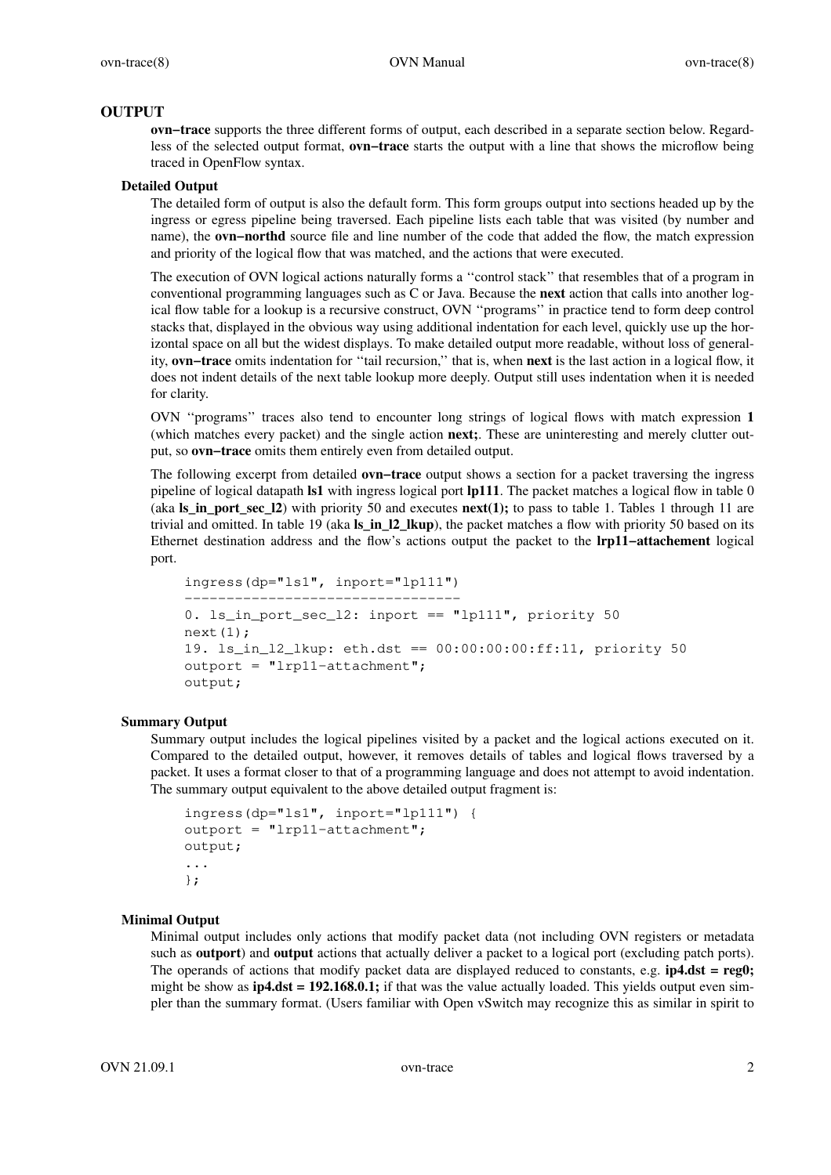## **OUTPUT**

**ovn-trace** supports the three different forms of output, each described in a separate section below. Regardless of the selected output format, **ovn−trace** starts the output with a line that shows the microflow being traced in OpenFlow syntax.

### **Detailed Output**

The detailed form of output is also the default form. This form groups output into sections headed up by the ingress or egress pipeline being traversed. Each pipeline lists each table that was visited (by number and name), the **ovn–northd** source file and line number of the code that added the flow, the match expression and priority of the logical flow that was matched, and the actions that were executed.

The execution of OVN logical actions naturally forms a ''control stack'' that resembles that of a program in conventional programming languages such as C or Java. Because the **next** action that calls into another logical flow table for a lookup is a recursive construct, OVN ''programs'' in practice tend to form deep control stacks that, displayed in the obvious way using additional indentation for each level, quickly use up the horizontal space on all but the widest displays. To make detailed output more readable, without loss of generality, **ovn−trace** omits indentation for ''tail recursion,'' that is, when **next** is the last action in a logical flow, it does not indent details of the next table lookup more deeply. Output still uses indentation when it is needed for clarity.

OVN ''programs'' traces also tend to encounter long strings of logical flows with match expression **1** (which matches every packet) and the single action **next;**. These are uninteresting and merely clutter output, so **ovn−trace** omits them entirely even from detailed output.

The following excerpt from detailed **ovn−trace** output shows a section for a packet traversing the ingress pipeline of logical datapath **ls1** with ingress logical port **lp111**. The packet matches a logical flow in table 0 (aka **ls\_in\_port\_sec\_l2**) with priority 50 and executes **next(1);** to pass to table 1. Tables 1 through 11 are trivial and omitted. In table 19 (aka **ls\_in\_l2\_lkup**), the packet matches a flow with priority 50 based on its Ethernet destination address and the flow's actions output the packet to the **lrp11−attachement** logical port.

```
ingress(dp="ls1", inport="lp111")
−−−−−−−−−−−−−−−−−−−−−−−−−−−−−−−−−
0. ls_in_port_sec_l2: inport == "lp111", priority 50
next(1);
19. ls_in_l2_lkup: eth.dst == 00:00:00:00:ff:11, priority 50
outport = "lrp11−attachment";
output;
```
#### **Summary Output**

Summary output includes the logical pipelines visited by a packet and the logical actions executed on it. Compared to the detailed output, however, it removes details of tables and logical flows traversed by a packet. It uses a format closer to that of a programming language and does not attempt to avoid indentation. The summary output equivalent to the above detailed output fragment is:

```
ingress(dp="ls1", inport="lp111") {
outport = "lrp11−attachment";
output;
...
};
```
### **Minimal Output**

Minimal output includes only actions that modify packet data (not including OVN registers or metadata such as **outport**) and **output** actions that actually deliver a packet to a logical port (excluding patch ports). The operands of actions that modify packet data are displayed reduced to constants, e.g. **ip4.dst = reg0;** might be show as **ip4.dst = 192.168.0.1;** if that was the value actually loaded. This yields output even simpler than the summary format. (Users familiar with Open vSwitch may recognize this as similar in spirit to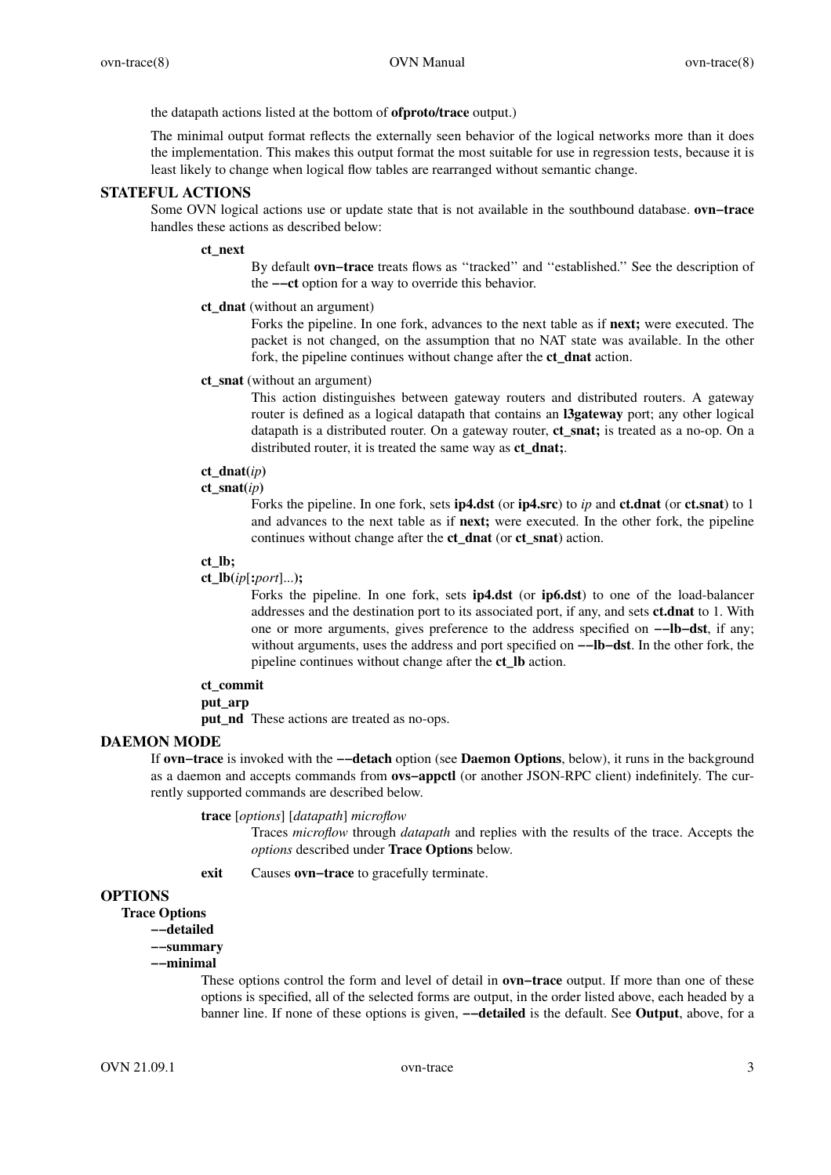the datapath actions listed at the bottom of **ofproto/trace** output.)

The minimal output format reflects the externally seen behavior of the logical networks more than it does the implementation. This makes this output format the most suitable for use in regression tests, because it is least likely to change when logical flow tables are rearranged without semantic change.

## **STATEFUL ACTIONS**

Some OVN logical actions use or update state that is not available in the southbound database. **ovn−trace** handles these actions as described below:

#### **ct\_next**

By default **ovn−trace** treats flows as ''tracked'' and ''established.'' See the description of the **−−ct** option for a way to override this behavior.

#### **ct\_dnat** (without an argument)

Forks the pipeline. In one fork, advances to the next table as if **next;** were executed. The packet is not changed, on the assumption that no NAT state was available. In the other fork, the pipeline continues without change after the **ct\_dnat** action.

### **ct\_snat** (without an argument)

This action distinguishes between gateway routers and distributed routers. A gateway router is defined as a logical datapath that contains an **l3gateway** port; any other logical datapath is a distributed router. On a gateway router, **ct\_snat;** is treated as a no-op. On a distributed router, it is treated the same way as **ct\_dnat;**.

## **ct\_dnat(***ip***)**

**ct\_snat(***ip***)**

Forks the pipeline. In one fork, sets **ip4.dst** (or **ip4.src**) to *ip* and **ct.dnat** (or **ct.snat**) to 1 and advances to the next table as if **next;** were executed. In the other fork, the pipeline continues without change after the **ct\_dnat** (or **ct\_snat**) action.

## **ct\_lb;**

### **ct\_lb(***ip*[**:***port*]...**);**

Forks the pipeline. In one fork, sets **ip4.dst** (or **ip6.dst**) to one of the load-balancer addresses and the destination port to its associated port, if any, and sets **ct.dnat** to 1. With one or more arguments, gives preference to the address specified on **−−lb−dst**, if any; without arguments, uses the address and port specified on **−−lb−dst**. In the other fork, the pipeline continues without change after the **ct\_lb** action.

#### **ct\_commit**

#### **put\_arp**

**put** nd These actions are treated as no-ops.

## **DAEMON MODE**

If **ovn−trace** is invoked with the **−−detach** option (see **Daemon Options**, below), it runs in the background as a daemon and accepts commands from **ovs−appctl** (or another JSON-RPC client) indefinitely. The currently supported commands are described below.

## **trace** [*options*] [*datapath*] *microflow*

Traces *microflow* through *datapath* and replies with the results of the trace. Accepts the *options* described under **Trace Options** below.

**exit** Causes **ovn−trace** to gracefully terminate.

### **OPTIONS**

**Trace Options**

**−−detailed**

## **−−summary**

## **−−minimal**

These options control the form and level of detail in **ovn−trace** output. If more than one of these options is specified, all of the selected forms are output, in the order listed above, each headed by a banner line. If none of these options is given, **−−detailed** is the default. See **Output**, above, for a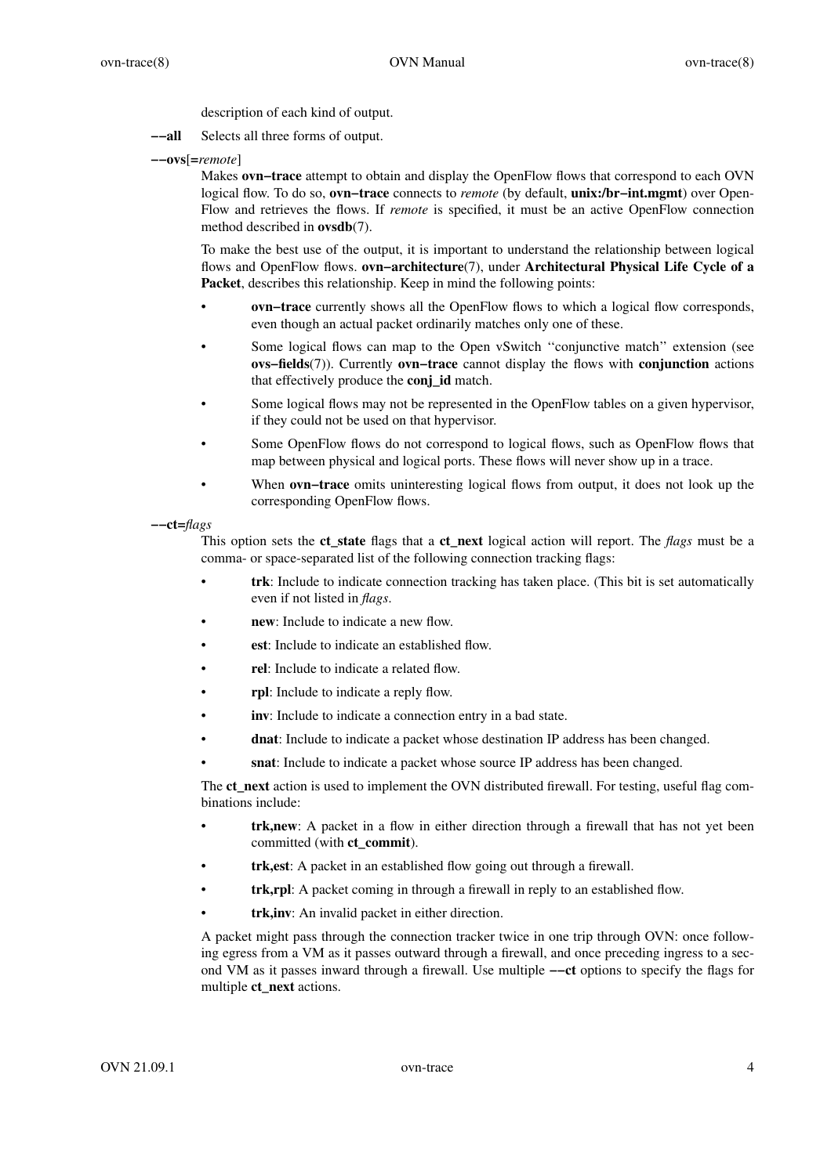description of each kind of output.

- **−−all** Selects all three forms of output.
- **−−ovs**[**=***remote*]

Makes **ovn−trace** attempt to obtain and display the OpenFlow flows that correspond to each OVN logical flow. To do so, **ovn−trace** connects to *remote* (by default, **unix:/br−int.mgmt**) over Open-Flow and retrieves the flows. If *remote* is specified, it must be an active OpenFlow connection method described in **ovsdb**(7).

To make the best use of the output, it is important to understand the relationship between logical flows and OpenFlow flows. **ovn−architecture**(7), under **Architectural Physical Life Cycle of a Packet**, describes this relationship. Keep in mind the following points:

- **ovn−trace** currently shows all the OpenFlow flows to which a logical flow corresponds, even though an actual packet ordinarily matches only one of these.
- Some logical flows can map to the Open vSwitch "conjunctive match" extension (see **ovs−fields**(7)). Currently **ovn−trace** cannot display the flows with **conjunction** actions that effectively produce the **conj\_id** match.
- Some logical flows may not be represented in the OpenFlow tables on a given hypervisor, if they could not be used on that hypervisor.
- Some OpenFlow flows do not correspond to logical flows, such as OpenFlow flows that map between physical and logical ports. These flows will never show up in a trace.
- When **ovn−trace** omits uninteresting logical flows from output, it does not look up the corresponding OpenFlow flows.
- **−−ct=***flags*

This option sets the **ct\_state** flags that a **ct\_next** logical action will report. The *flags* must be a comma- or space-separated list of the following connection tracking flags:

- **trk**: Include to indicate connection tracking has taken place. (This bit is set automatically even if not listed in *flags*.
- **new**: Include to indicate a new flow.
- est: Include to indicate an established flow.
- **rel**: Include to indicate a related flow.
- **rpl**: Include to indicate a reply flow.
- inv: Include to indicate a connection entry in a bad state.
- **dnat**: Include to indicate a packet whose destination IP address has been changed.
- **snat**: Include to indicate a packet whose source IP address has been changed.

The **ct\_next** action is used to implement the OVN distributed firewall. For testing, useful flag combinations include:

- **trk,new**: A packet in a flow in either direction through a firewall that has not yet been committed (with **ct\_commit**).
- trk, est: A packet in an established flow going out through a firewall.
- trk,rpl: A packet coming in through a firewall in reply to an established flow.
- trk, inv: An invalid packet in either direction.

A packet might pass through the connection tracker twice in one trip through OVN: once following egress from a VM as it passes outward through a firewall, and once preceding ingress to a second VM as it passes inward through a firewall. Use multiple **−−ct** options to specify the flags for multiple **ct\_next** actions.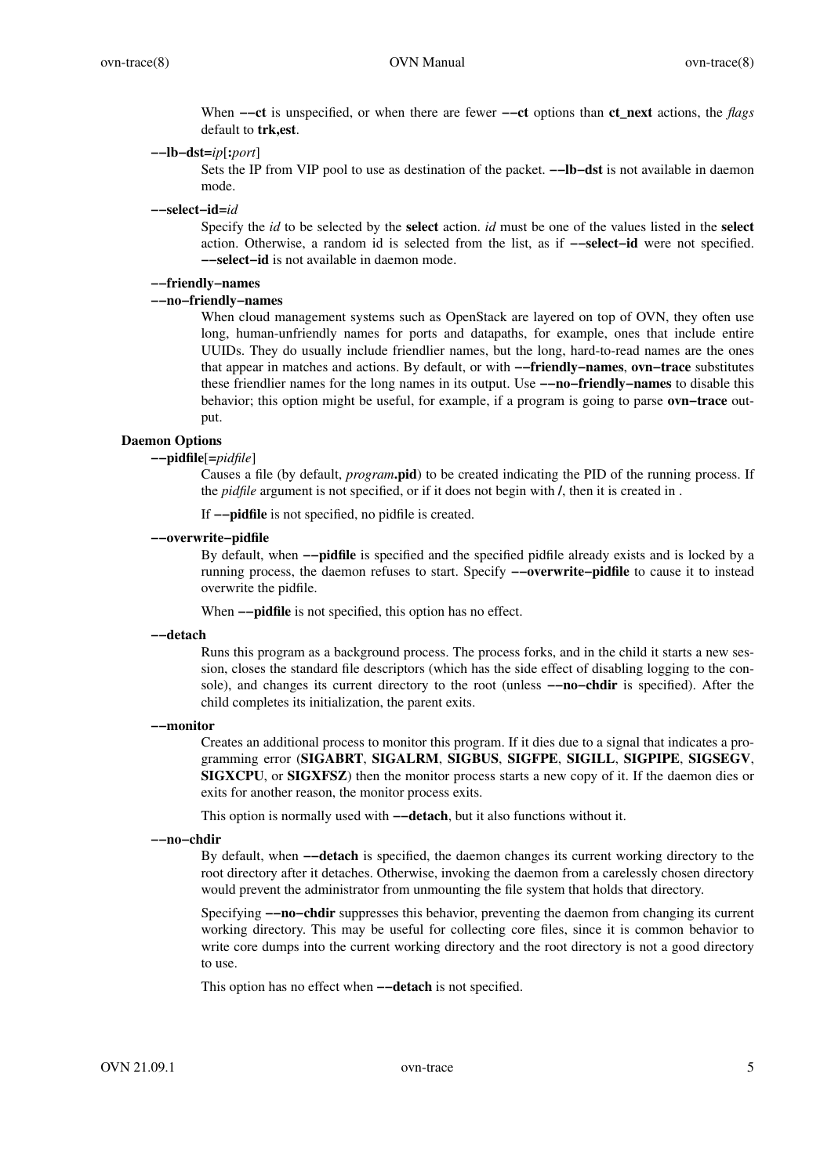When **−−ct** is unspecified, or when there are fewer **−−ct** options than **ct\_next** actions, the *flags* default to **trk,est**.

**−−lb−dst=***ip*[**:***port*]

Sets the IP from VIP pool to use as destination of the packet. **−−lb−dst** is not available in daemon mode.

**−−select−id=***id*

Specify the *id* to be selected by the **select** action. *id* must be one of the values listed in the **select** action. Otherwise, a random id is selected from the list, as if **−−select−id** were not specified. **−−select−id** is not available in daemon mode.

## **−−friendly−names**

## **−−no−friendly−names**

When cloud management systems such as OpenStack are layered on top of OVN, they often use long, human-unfriendly names for ports and datapaths, for example, ones that include entire UUIDs. They do usually include friendlier names, but the long, hard-to-read names are the ones that appear in matches and actions. By default, or with **−−friendly−names**, **ovn−trace** substitutes these friendlier names for the long names in its output. Use **−−no−friendly−names** to disable this behavior; this option might be useful, for example, if a program is going to parse **ovn−trace** output.

### **Daemon Options**

## **−−pidfile**[**=***pidfile*]

Causes a file (by default, *program***.pid**) to be created indicating the PID of the running process. If the *pidfile* argument is not specified, or if it does not begin with **/**, then it is created in .

If **−−pidfile** is not specified, no pidfile is created.

#### **−−overwrite−pidfile**

By default, when **−−pidfile** is specified and the specified pidfile already exists and is locked by a running process, the daemon refuses to start. Specify **−−overwrite−pidfile** to cause it to instead overwrite the pidfile.

When **−−pidfile** is not specified, this option has no effect.

### **−−detach**

Runs this program as a background process. The process forks, and in the child it starts a new session, closes the standard file descriptors (which has the side effect of disabling logging to the console), and changes its current directory to the root (unless **−−no−chdir** is specified). After the child completes its initialization, the parent exits.

#### **−−monitor**

Creates an additional process to monitor this program. If it dies due to a signal that indicates a programming error (**SIGABRT**, **SIGALRM**, **SIGBUS**, **SIGFPE**, **SIGILL**, **SIGPIPE**, **SIGSEGV**, **SIGXCPU**, or **SIGXFSZ**) then the monitor process starts a new copy of it. If the daemon dies or exits for another reason, the monitor process exits.

This option is normally used with **−−detach**, but it also functions without it.

#### **−−no−chdir**

By default, when **−−detach** is specified, the daemon changes its current working directory to the root directory after it detaches. Otherwise, invoking the daemon from a carelessly chosen directory would prevent the administrator from unmounting the file system that holds that directory.

Specifying **−−no−chdir** suppresses this behavior, preventing the daemon from changing its current working directory. This may be useful for collecting core files, since it is common behavior to write core dumps into the current working directory and the root directory is not a good directory to use.

This option has no effect when **−−detach** is not specified.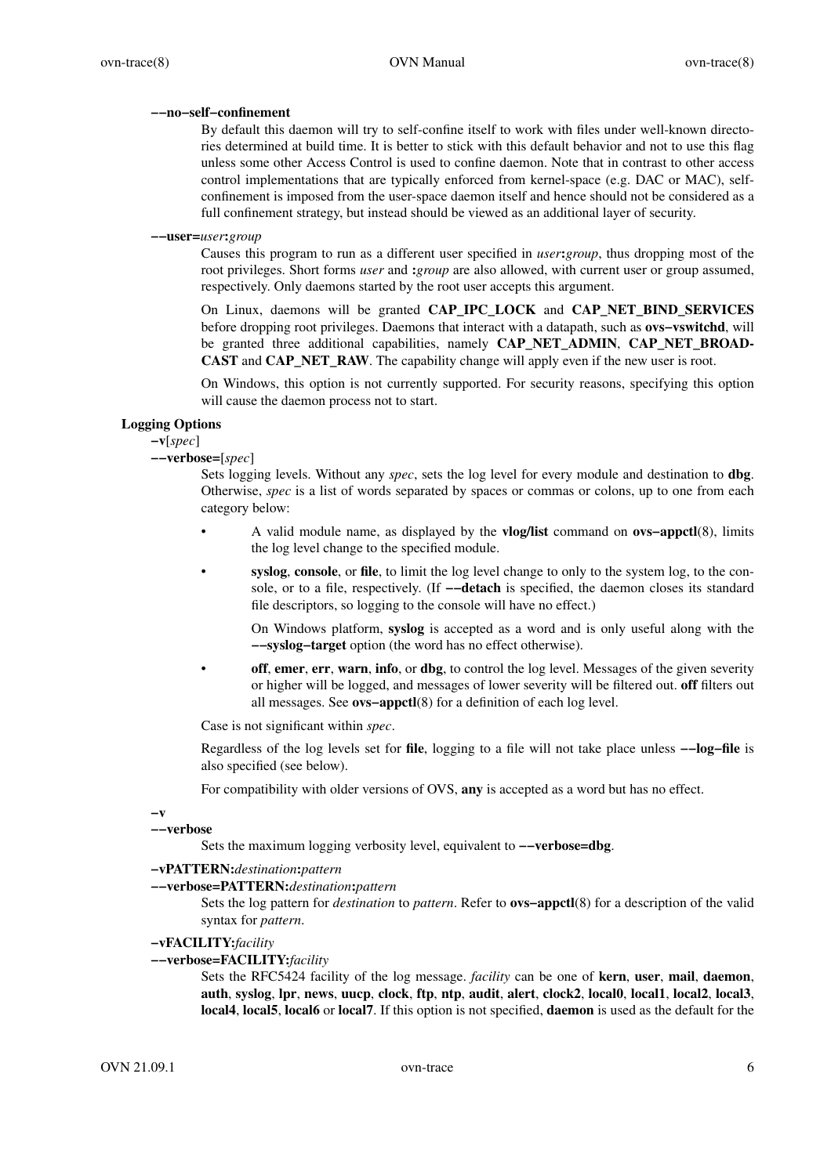### **−−no−self−confinement**

By default this daemon will try to self-confine itself to work with files under well-known directories determined at build time. It is better to stick with this default behavior and not to use this flag unless some other Access Control is used to confine daemon. Note that in contrast to other access control implementations that are typically enforced from kernel-space (e.g. DAC or MAC), selfconfinement is imposed from the user-space daemon itself and hence should not be considered as a full confinement strategy, but instead should be viewed as an additional layer of security.

### **−−user=***user***:***group*

Causes this program to run as a different user specified in *user***:***group*, thus dropping most of the root privileges. Short forms *user* and **:***group* are also allowed, with current user or group assumed, respectively. Only daemons started by the root user accepts this argument.

On Linux, daemons will be granted **CAP\_IPC\_LOCK** and **CAP\_NET\_BIND\_SERVICES** before dropping root privileges. Daemons that interact with a datapath, such as **ovs−vswitchd**, will be granted three additional capabilities, namely **CAP\_NET\_ADMIN**, **CAP\_NET\_BROAD-CAST** and **CAP\_NET\_RAW**. The capability change will apply even if the new user is root.

On Windows, this option is not currently supported. For security reasons, specifying this option will cause the daemon process not to start.

### **Logging Options**

**−v**[*spec*]

## **−−verbose=**[*spec*]

Sets logging levels. Without any *spec*, sets the log level for every module and destination to **dbg**. Otherwise, *spec* is a list of words separated by spaces or commas or colons, up to one from each category below:

- A valid module name, as displayed by the **vlog/list** command on **ovs−appctl**(8), limits the log level change to the specified module.
	- **syslog**, **console**, or **file**, to limit the log level change to only to the system log, to the console, or to a file, respectively. (If **−−detach** is specified, the daemon closes its standard file descriptors, so logging to the console will have no effect.)

On Windows platform, **syslog** is accepted as a word and is only useful along with the **−−syslog−target** option (the word has no effect otherwise).

**off**, **emer**, **err**, **warn**, **info**, or **dbg**, to control the log level. Messages of the given severity or higher will be logged, and messages of lower severity will be filtered out. **off** filters out all messages. See **ovs−appctl**(8) for a definition of each log level.

Case is not significant within *spec*.

Regardless of the log levels set for **file**, logging to a file will not take place unless **−−log−file** is also specified (see below).

For compatibility with older versions of OVS, **any** is accepted as a word but has no effect.

**−v**

### **−−verbose**

Sets the maximum logging verbosity level, equivalent to **−−verbose=dbg**.

## **−vPATTERN:***destination***:***pattern*

#### **−−verbose=PATTERN:***destination***:***pattern*

Sets the log pattern for *destination* to *pattern*. Refer to **ovs−appctl**(8) for a description of the valid syntax for *pattern*.

### **−vFACILITY:***facility*

### **−−verbose=FACILITY:***facility*

Sets the RFC5424 facility of the log message. *facility* can be one of **kern**, **user**, **mail**, **daemon**, **auth**, **syslog**, **lpr**, **news**, **uucp**, **clock**, **ftp**, **ntp**, **audit**, **alert**, **clock2**, **local0**, **local1**, **local2**, **local3**, **local4**, **local5**, **local6** or **local7**. If this option is not specified, **daemon** is used as the default for the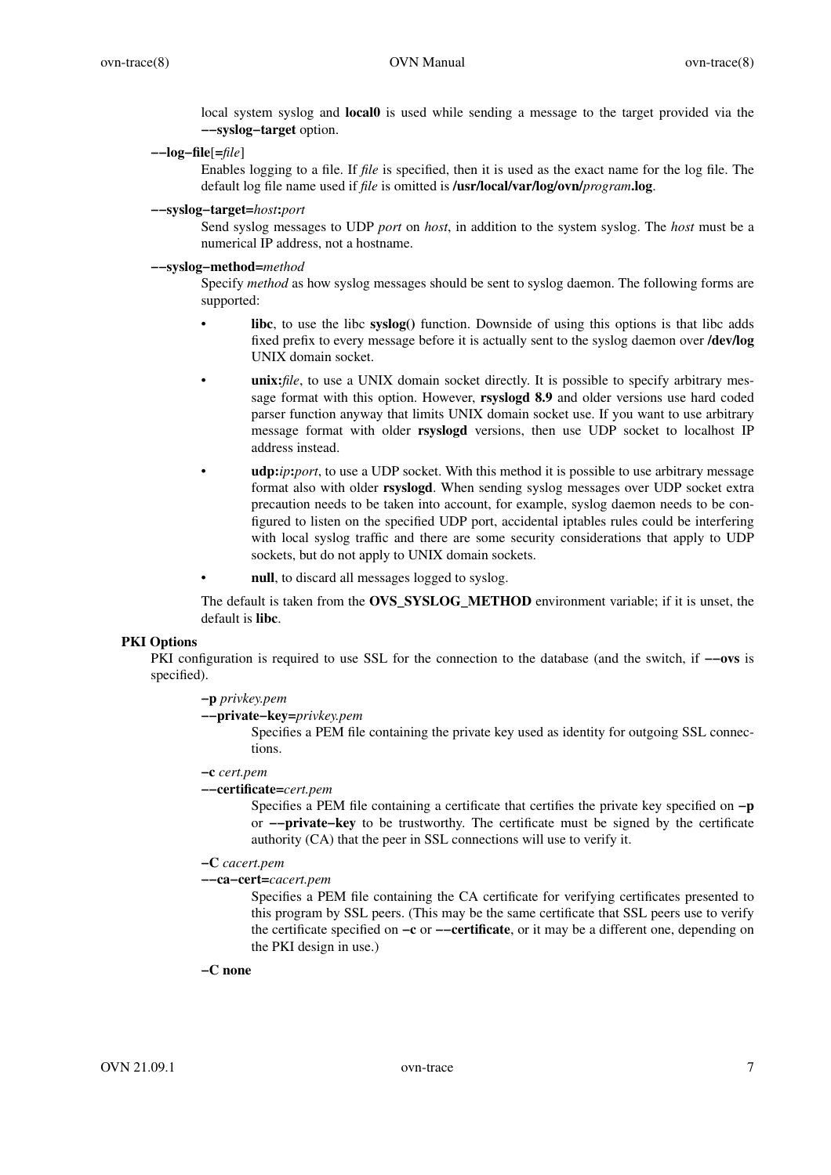local system syslog and **local0** is used while sending a message to the target provided via the **−−syslog−target** option.

**−−log−file**[**=***file*]

Enables logging to a file. If *file* is specified, then it is used as the exact name for the log file. The default log file name used if *file* is omitted is **/usr/local/var/log/ovn/***program***.log**.

#### **−−syslog−target=***host***:***port*

Send syslog messages to UDP *port* on *host*, in addition to the system syslog. The *host* must be a numerical IP address, not a hostname.

## **−−syslog−method=***method*

Specify *method* as how syslog messages should be sent to syslog daemon. The following forms are supported:

- **libc**, to use the libc **syslog()** function. Downside of using this options is that libc adds fixed prefix to every message before it is actually sent to the syslog daemon over **/dev/log** UNIX domain socket.
- **unix:***file*, to use a UNIX domain socket directly. It is possible to specify arbitrary message format with this option. However, **rsyslogd 8.9** and older versions use hard coded parser function anyway that limits UNIX domain socket use. If you want to use arbitrary message format with older **rsyslogd** versions, then use UDP socket to localhost IP address instead.
- **udp:***ip***:***port*, to use a UDP socket. With this method it is possible to use arbitrary message format also with older **rsyslogd**. When sending syslog messages over UDP socket extra precaution needs to be taken into account, for example, syslog daemon needs to be configured to listen on the specified UDP port, accidental iptables rules could be interfering with local syslog traffic and there are some security considerations that apply to UDP sockets, but do not apply to UNIX domain sockets.
- null, to discard all messages logged to syslog.

The default is taken from the **OVS\_SYSLOG\_METHOD** environment variable; if it is unset, the default is **libc**.

### **PKI Options**

PKI configuration is required to use SSL for the connection to the database (and the switch, if **−−ovs** is specified).

## **−p** *privkey.pem*

## **−−private−key=***privkey.pem*

Specifies a PEM file containing the private key used as identity for outgoing SSL connections.

## **−c** *cert.pem*

### **−−certificate=***cert.pem*

Specifies a PEM file containing a certificate that certifies the private key specified on **−p** or **−−private−key** to be trustworthy. The certificate must be signed by the certificate authority (CA) that the peer in SSL connections will use to verify it.

## **−C** *cacert.pem*

**−−ca−cert=***cacert.pem*

Specifies a PEM file containing the CA certificate for verifying certificates presented to this program by SSL peers. (This may be the same certificate that SSL peers use to verify the certificate specified on **−c** or **−−certificate**, or it may be a different one, depending on the PKI design in use.)

## **−C none**